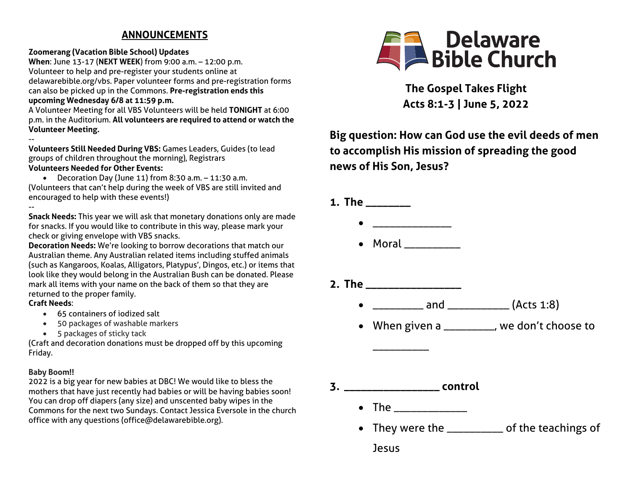# **ANNOUNCEMENTS**

### **Zoomerang (Vacation Bible School) Updates**

**When**: June 13-17 (**NEXT WEEK**) from 9:00 a.m. – 12:00 p.m. Volunteer to help and pre-register your students online at delawarebible.org/vbs. Paper volunteer forms and pre-registration forms can also be picked up in the Commons. **Pre-registration ends this upcoming Wednesday 6/8 at 11:59 p.m.**

A Volunteer Meeting for all VBS Volunteers will be held **TONIGHT** at 6:00 p.m. in the Auditorium. **All volunteers are required to attend or watch the Volunteer Meeting.** 

--

**Volunteers Still Needed During VBS:** Games Leaders, Guides (to lead groups of children throughout the morning), Registrars **Volunteers Needed for Other Events:** 

• Decoration Day (June 11) from 8:30 a.m. – 11:30 a.m. (Volunteers that can't help during the week of VBS are still invited and encouraged to help with these events!)

-- **Snack Needs:** This year we will ask that monetary donations only are made for snacks. If you would like to contribute in this way, please mark your check or giving envelope with VBS snacks.

**Decoration Needs:** We're looking to borrow decorations that match our Australian theme. Any Australian related items including stuffed animals (such as Kangaroos, Koalas, Alligators, Platypus', Dingos, etc.) or items that look like they would belong in the Australian Bush can be donated. Please mark all items with your name on the back of them so that they are returned to the proper family.

#### **Craft Needs**:

- 65 containers of iodized salt
- 50 packages of washable markers
- 5 packages of sticky tack

(Craft and decoration donations must be dropped off by this upcoming Friday.

## **Baby Boom!!**

2022 is a big year for new babies at DBC! We would like to bless the mothers that have just recently had babies or will be having babies soon! You can drop off diapers (any size) and unscented baby wipes in the Commons for the next two Sundays. Contact Jessica Eversole in the church office with any questions (office@delawarebible.org).



**The Gospel Takes Flight Acts 8:1-3 | June 5, 2022**

# **Big question: How can God use the evil deeds of men to accomplish His mission of spreading the good news of His Son, Jesus?**